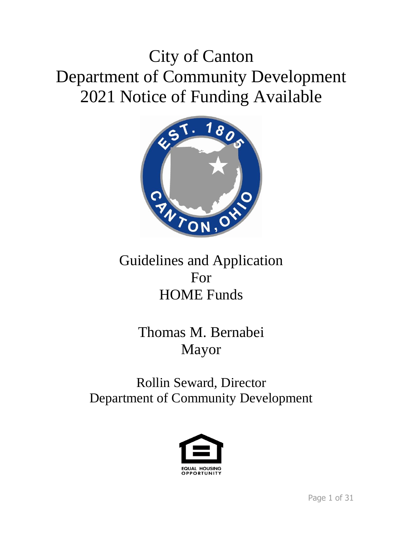# City of Canton Department of Community Development 2021 Notice of Funding Available



# Guidelines and Application For HOME Funds

# Thomas M. Bernabei Mayor

# Rollin Seward, Director Department of Community Development

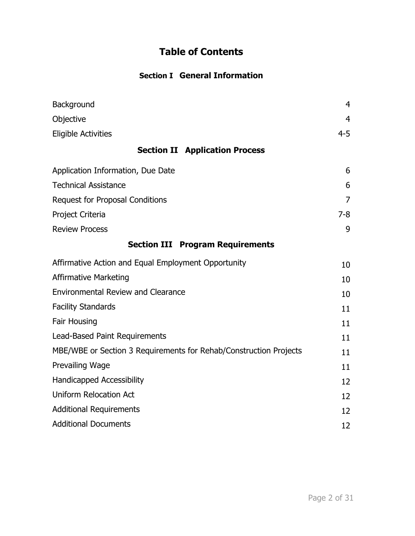# **Table of Contents**

# **Section I General Information**

| Background                                                        | $\overline{4}$ |
|-------------------------------------------------------------------|----------------|
| Objective                                                         | 4              |
| <b>Eligible Activities</b>                                        | $4 - 5$        |
| <b>Section II Application Process</b>                             |                |
| Application Information, Due Date                                 | 6              |
| <b>Technical Assistance</b>                                       | 6              |
| <b>Request for Proposal Conditions</b>                            | 7              |
| Project Criteria                                                  | $7-8$          |
| <b>Review Process</b>                                             | 9              |
| <b>Section III Program Requirements</b>                           |                |
| Affirmative Action and Equal Employment Opportunity               | 10             |
| <b>Affirmative Marketing</b>                                      | 10             |
| <b>Environmental Review and Clearance</b>                         | 10             |
| <b>Facility Standards</b>                                         | 11             |
| Fair Housing                                                      | 11             |
| Lead-Based Paint Requirements                                     | 11             |
| MBE/WBE or Section 3 Requirements for Rehab/Construction Projects | 11             |
| Prevailing Wage                                                   | 11             |
| <b>Handicapped Accessibility</b>                                  | 12             |
| <b>Uniform Relocation Act</b>                                     | 12             |
| <b>Additional Requirements</b>                                    | 12             |
| <b>Additional Documents</b>                                       | 12             |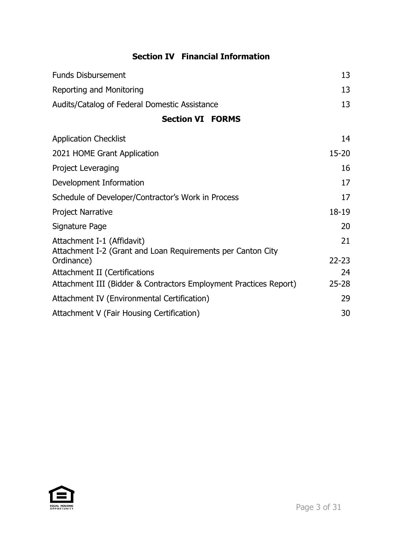# **Section IV Financial Information**

| <b>Funds Disbursement</b>                                                                 | 13        |
|-------------------------------------------------------------------------------------------|-----------|
| Reporting and Monitoring                                                                  | 13        |
| Audits/Catalog of Federal Domestic Assistance                                             | 13        |
| <b>Section VI FORMS</b>                                                                   |           |
| <b>Application Checklist</b>                                                              | 14        |
| 2021 HOME Grant Application                                                               | $15 - 20$ |
| Project Leveraging                                                                        | 16        |
| Development Information                                                                   | 17        |
| Schedule of Developer/Contractor's Work in Process                                        | 17        |
| <b>Project Narrative</b>                                                                  | 18-19     |
| Signature Page                                                                            | 20        |
| Attachment I-1 (Affidavit)<br>Attachment I-2 (Grant and Loan Requirements per Canton City | 21        |
| Ordinance)                                                                                | $22 - 23$ |
| Attachment II (Certifications                                                             | 24        |
| Attachment III (Bidder & Contractors Employment Practices Report)                         | $25 - 28$ |
| Attachment IV (Environmental Certification)                                               | 29        |
| Attachment V (Fair Housing Certification)                                                 | 30        |

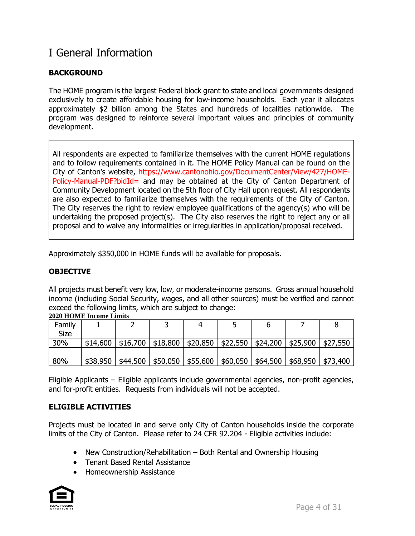# I General Information

# **BACKGROUND**

The HOME program is the largest Federal block grant to state and local governments designed exclusively to create affordable housing for low-income households. Each year it allocates approximately \$2 billion among the States and hundreds of localities nationwide. The program was designed to reinforce several important values and principles of community development.

All respondents are expected to familiarize themselves with the current HOME regulations and to follow requirements contained in it. The HOME Policy Manual can be found on the City of Canton's website, https://www.cantonohio.gov/DocumentCenter/View/427/HOME-Policy-Manual-PDF?bidId= and may be obtained at the City of Canton Department of Community Development located on the 5th floor of City Hall upon request. All respondents are also expected to familiarize themselves with the requirements of the City of Canton. The City reserves the right to review employee qualifications of the agency(s) who will be undertaking the proposed project(s). The City also reserves the right to reject any or all proposal and to waive any informalities or irregularities in application/proposal received.

Approximately \$350,000 in HOME funds will be available for proposals.

# **OBJECTIVE**

All projects must benefit very low, low, or moderate-income persons. Gross annual household income (including Social Security, wages, and all other sources) must be verified and cannot exceed the following limits, which are subject to change:

| Family      |          |          |                                 |          |          |          |          |          |
|-------------|----------|----------|---------------------------------|----------|----------|----------|----------|----------|
| <b>Size</b> |          |          |                                 |          |          |          |          |          |
| 30%         | \$14,600 | \$16,700 | \$18,800                        | \$20,850 | \$22,550 | \$24,200 | \$25,900 | \$27,550 |
|             |          |          |                                 |          |          |          |          |          |
| 80%         | \$38,950 |          | $$44,500$   \$50,050   \$55,600 |          | \$60,050 | \$64,500 | \$68,950 | \$73,400 |

### **2020 HOME Income Limits**

Eligible Applicants – Eligible applicants include governmental agencies, non-profit agencies, and for-profit entities. Requests from individuals will not be accepted.

# **ELIGIBLE ACTIVITIES**

Projects must be located in and serve only City of Canton households inside the corporate limits of the City of Canton. Please refer to 24 CFR 92.204 - Eligible activities include:

- New Construction/Rehabilitation Both Rental and Ownership Housing
- Tenant Based Rental Assistance
- Homeownership Assistance

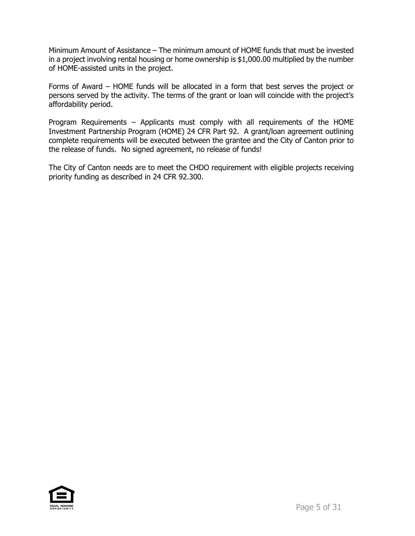Minimum Amount of Assistance – The minimum amount of HOME funds that must be invested in a project involving rental housing or home ownership is \$1,000.00 multiplied by the number of HOME-assisted units in the project.

Forms of Award – HOME funds will be allocated in a form that best serves the project or persons served by the activity. The terms of the grant or loan will coincide with the project's affordability period.

Program Requirements – Applicants must comply with all requirements of the HOME Investment Partnership Program (HOME) 24 CFR Part 92. A grant/loan agreement outlining complete requirements will be executed between the grantee and the City of Canton prior to the release of funds. No signed agreement, no release of funds!

The City of Canton needs are to meet the CHDO requirement with eligible projects receiving priority funding as described in 24 CFR 92.300.

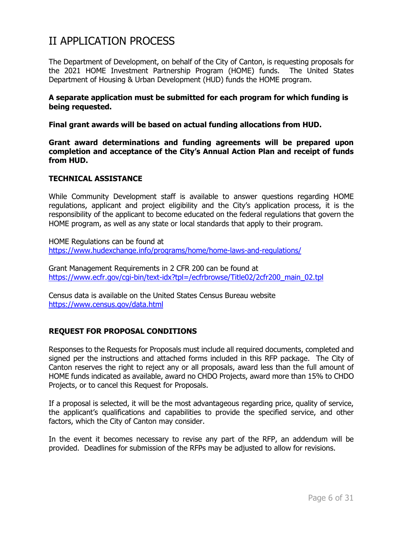# II APPLICATION PROCESS

The Department of Development, on behalf of the City of Canton, is requesting proposals for the 2021 HOME Investment Partnership Program (HOME) funds. The United States Department of Housing & Urban Development (HUD) funds the HOME program.

### **A separate application must be submitted for each program for which funding is being requested.**

**Final grant awards will be based on actual funding allocations from HUD.**

**Grant award determinations and funding agreements will be prepared upon completion and acceptance of the City's Annual Action Plan and receipt of funds from HUD.** 

### **TECHNICAL ASSISTANCE**

While Community Development staff is available to answer questions regarding HOME regulations, applicant and project eligibility and the City's application process, it is the responsibility of the applicant to become educated on the federal regulations that govern the HOME program, as well as any state or local standards that apply to their program.

HOME Regulations can be found at <https://www.hudexchange.info/programs/home/home-laws-and-regulations/>

Grant Management Requirements in 2 CFR 200 can be found at [https://www.ecfr.gov/cgi-bin/text-idx?tpl=/ecfrbrowse/Title02/2cfr200\\_main\\_02.tpl](https://www.ecfr.gov/cgi-bin/text-idx?tpl=/ecfrbrowse/Title02/2cfr200_main_02.tpl)

Census data is available on the United States Census Bureau website <https://www.census.gov/data.html>

# **REQUEST FOR PROPOSAL CONDITIONS**

Responses to the Requests for Proposals must include all required documents, completed and signed per the instructions and attached forms included in this RFP package. The City of Canton reserves the right to reject any or all proposals, award less than the full amount of HOME funds indicated as available, award no CHDO Projects, award more than 15% to CHDO Projects, or to cancel this Request for Proposals.

If a proposal is selected, it will be the most advantageous regarding price, quality of service, the applicant's qualifications and capabilities to provide the specified service, and other factors, which the City of Canton may consider.

In the event it becomes necessary to revise any part of the RFP, an addendum will be provided. Deadlines for submission of the RFPs may be adjusted to allow for revisions.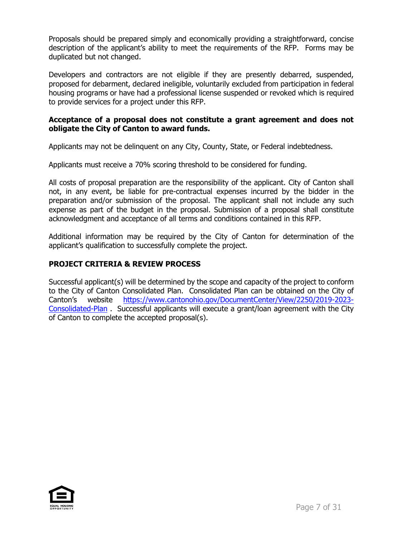Proposals should be prepared simply and economically providing a straightforward, concise description of the applicant's ability to meet the requirements of the RFP. Forms may be duplicated but not changed.

Developers and contractors are not eligible if they are presently debarred, suspended, proposed for debarment, declared ineligible, voluntarily excluded from participation in federal housing programs or have had a professional license suspended or revoked which is required to provide services for a project under this RFP.

# **Acceptance of a proposal does not constitute a grant agreement and does not obligate the City of Canton to award funds.**

Applicants may not be delinquent on any City, County, State, or Federal indebtedness.

Applicants must receive a 70% scoring threshold to be considered for funding.

All costs of proposal preparation are the responsibility of the applicant. City of Canton shall not, in any event, be liable for pre-contractual expenses incurred by the bidder in the preparation and/or submission of the proposal. The applicant shall not include any such expense as part of the budget in the proposal. Submission of a proposal shall constitute acknowledgment and acceptance of all terms and conditions contained in this RFP.

Additional information may be required by the City of Canton for determination of the applicant's qualification to successfully complete the project.

# **PROJECT CRITERIA & REVIEW PROCESS**

Successful applicant(s) will be determined by the scope and capacity of the project to conform to the City of Canton Consolidated Plan. Consolidated Plan can be obtained on the City of Canton's website [https://www.cantonohio.gov/DocumentCenter/View/2250/2019-2023-](https://www.cantonohio.gov/DocumentCenter/View/2250/2019-2023-Consolidated-Plan) [Consolidated-Plan](https://www.cantonohio.gov/DocumentCenter/View/2250/2019-2023-Consolidated-Plan) . Successful applicants will execute a grant/loan agreement with the City of Canton to complete the accepted proposal(s).

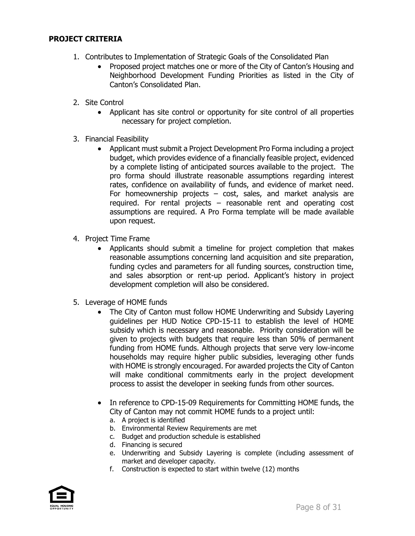## **PROJECT CRITERIA**

- 1. Contributes to Implementation of Strategic Goals of the Consolidated Plan
	- Proposed project matches one or more of the City of Canton's Housing and Neighborhood Development Funding Priorities as listed in the City of Canton's Consolidated Plan.
- 2. Site Control
	- Applicant has site control or opportunity for site control of all properties necessary for project completion.
- 3. Financial Feasibility
	- Applicant must submit a Project Development Pro Forma including a project budget, which provides evidence of a financially feasible project, evidenced by a complete listing of anticipated sources available to the project. The pro forma should illustrate reasonable assumptions regarding interest rates, confidence on availability of funds, and evidence of market need. For homeownership projects  $-$  cost, sales, and market analysis are required. For rental projects – reasonable rent and operating cost assumptions are required. A Pro Forma template will be made available upon request.
- 4. Project Time Frame
	- Applicants should submit a timeline for project completion that makes reasonable assumptions concerning land acquisition and site preparation, funding cycles and parameters for all funding sources, construction time, and sales absorption or rent-up period. Applicant's history in project development completion will also be considered.
- 5. Leverage of HOME funds
	- The City of Canton must follow HOME Underwriting and Subsidy Layering guidelines per HUD Notice CPD-15-11 to establish the level of HOME subsidy which is necessary and reasonable. Priority consideration will be given to projects with budgets that require less than 50% of permanent funding from HOME funds. Although projects that serve very low-income households may require higher public subsidies, leveraging other funds with HOME is strongly encouraged. For awarded projects the City of Canton will make conditional commitments early in the project development process to assist the developer in seeking funds from other sources.
	- In reference to CPD-15-09 Requirements for Committing HOME funds, the City of Canton may not commit HOME funds to a project until:
		- a. A project is identified
		- b. Environmental Review Requirements are met
		- c. Budget and production schedule is established
		- d. Financing is secured
		- e. Underwriting and Subsidy Layering is complete (including assessment of market and developer capacity.
		- f. Construction is expected to start within twelve (12) months

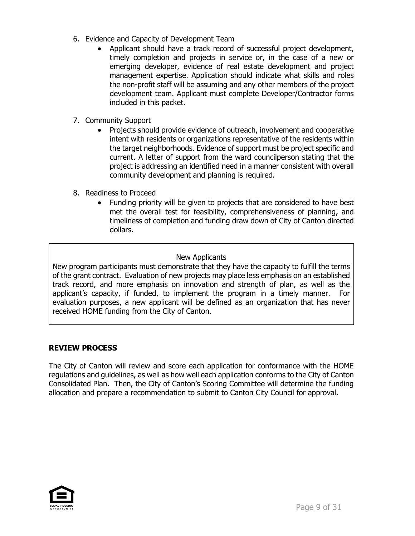- 6. Evidence and Capacity of Development Team
	- Applicant should have a track record of successful project development, timely completion and projects in service or, in the case of a new or emerging developer, evidence of real estate development and project management expertise. Application should indicate what skills and roles the non-profit staff will be assuming and any other members of the project development team. Applicant must complete Developer/Contractor forms included in this packet.
- 7. Community Support
	- Projects should provide evidence of outreach, involvement and cooperative intent with residents or organizations representative of the residents within the target neighborhoods. Evidence of support must be project specific and current. A letter of support from the ward councilperson stating that the project is addressing an identified need in a manner consistent with overall community development and planning is required.
- 8. Readiness to Proceed
	- Funding priority will be given to projects that are considered to have best met the overall test for feasibility, comprehensiveness of planning, and timeliness of completion and funding draw down of City of Canton directed dollars.

# New Applicants

New program participants must demonstrate that they have the capacity to fulfill the terms of the grant contract. Evaluation of new projects may place less emphasis on an established track record, and more emphasis on innovation and strength of plan, as well as the applicant's capacity, if funded, to implement the program in a timely manner. For evaluation purposes, a new applicant will be defined as an organization that has never received HOME funding from the City of Canton.

# **REVIEW PROCESS**

The City of Canton will review and score each application for conformance with the HOME regulations and guidelines, as well as how well each application conforms to the City of Canton Consolidated Plan. Then, the City of Canton's Scoring Committee will determine the funding allocation and prepare a recommendation to submit to Canton City Council for approval.

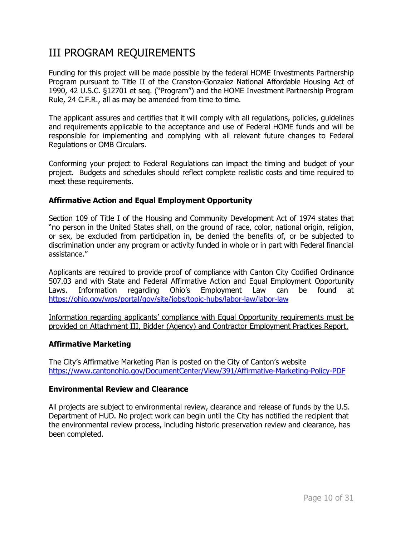# III PROGRAM REQUIREMENTS

Funding for this project will be made possible by the federal HOME Investments Partnership Program pursuant to Title II of the Cranston-Gonzalez National Affordable Housing Act of 1990, 42 U.S.C. §12701 et seq. ("Program") and the HOME Investment Partnership Program Rule, 24 C.F.R., all as may be amended from time to time.

The applicant assures and certifies that it will comply with all regulations, policies, guidelines and requirements applicable to the acceptance and use of Federal HOME funds and will be responsible for implementing and complying with all relevant future changes to Federal Regulations or OMB Circulars.

Conforming your project to Federal Regulations can impact the timing and budget of your project. Budgets and schedules should reflect complete realistic costs and time required to meet these requirements.

## **Affirmative Action and Equal Employment Opportunity**

Section 109 of Title I of the Housing and Community Development Act of 1974 states that "no person in the United States shall, on the ground of race, color, national origin, religion, or sex, be excluded from participation in, be denied the benefits of, or be subjected to discrimination under any program or activity funded in whole or in part with Federal financial assistance."

Applicants are required to provide proof of compliance with Canton City Codified Ordinance 507.03 and with State and Federal Affirmative Action and Equal Employment Opportunity Laws. Information regarding Ohio's Employment Law can be found at <https://ohio.gov/wps/portal/gov/site/jobs/topic-hubs/labor-law/labor-law>

Information regarding applicants' compliance with Equal Opportunity requirements must be provided on Attachment III, Bidder (Agency) and Contractor Employment Practices Report.

### **Affirmative Marketing**

The City's Affirmative Marketing Plan is posted on the City of Canton's website <https://www.cantonohio.gov/DocumentCenter/View/391/Affirmative-Marketing-Policy-PDF>

### **Environmental Review and Clearance**

All projects are subject to environmental review, clearance and release of funds by the U.S. Department of HUD. No project work can begin until the City has notified the recipient that the environmental review process, including historic preservation review and clearance, has been completed.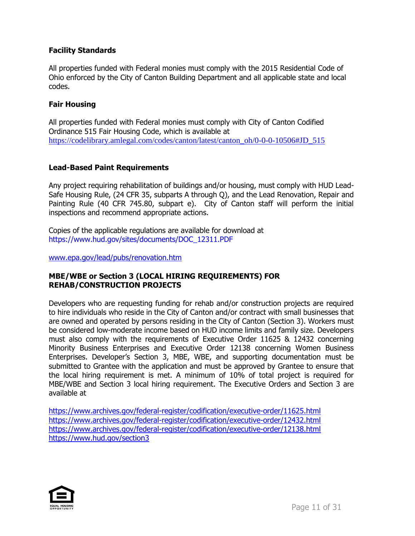# **Facility Standards**

All properties funded with Federal monies must comply with the 2015 Residential Code of Ohio enforced by the City of Canton Building Department and all applicable state and local codes.

# **Fair Housing**

All properties funded with Federal monies must comply with City of Canton Codified Ordinance 515 Fair Housing Code, which is available at [https://codelibrary.amlegal.com/codes/canton/latest/canton\\_oh/0-0-0-10506#JD\\_515](https://codelibrary.amlegal.com/codes/canton/latest/canton_oh/0-0-0-10506#JD_515)

# **Lead-Based Paint Requirements**

Any project requiring rehabilitation of buildings and/or housing, must comply with HUD Lead-Safe Housing Rule, (24 CFR 35, subparts A through Q), and the Lead Renovation, Repair and Painting Rule (40 CFR 745.80, subpart e). City of Canton staff will perform the initial inspections and recommend appropriate actions.

Copies of the applicable regulations are available for download at https://www.hud.gov/sites/documents/DOC\_12311.PDF

[www.epa.gov/lead/pubs/renovation.htm](http://www.epa.gov/lead/pubs/renovation.htm)

# **MBE/WBE or Section 3 (LOCAL HIRING REQUIREMENTS) FOR REHAB/CONSTRUCTION PROJECTS**

Developers who are requesting funding for rehab and/or construction projects are required to hire individuals who reside in the City of Canton and/or contract with small businesses that are owned and operated by persons residing in the City of Canton (Section 3). Workers must be considered low-moderate income based on HUD income limits and family size. Developers must also comply with the requirements of Executive Order 11625 & 12432 concerning Minority Business Enterprises and Executive Order 12138 concerning Women Business Enterprises. Developer's Section 3, MBE, WBE, and supporting documentation must be submitted to Grantee with the application and must be approved by Grantee to ensure that the local hiring requirement is met. A minimum of 10% of total project is required for MBE/WBE and Section 3 local hiring requirement. The Executive Orders and Section 3 are available at

<https://www.archives.gov/federal-register/codification/executive-order/11625.html> <https://www.archives.gov/federal-register/codification/executive-order/12432.html> <https://www.archives.gov/federal-register/codification/executive-order/12138.html> <https://www.hud.gov/section3>

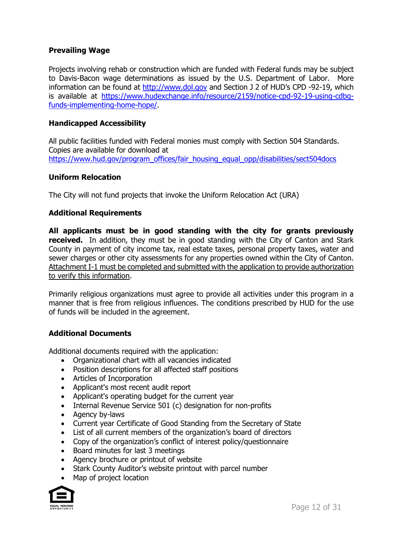# **Prevailing Wage**

Projects involving rehab or construction which are funded with Federal funds may be subject to Davis-Bacon wage determinations as issued by the U.S. Department of Labor. More information can be found at [http://www.dol.gov](http://www.dol.gov/) and Section J 2 of HUD's CPD -92-19, which is available at [https://www.hudexchange.info/resource/2159/notice-cpd-92-19-using-cdbg](https://www.hudexchange.info/resource/2159/notice-cpd-92-19-using-cdbg-funds-implementing-home-hope/)[funds-implementing-home-hope/.](https://www.hudexchange.info/resource/2159/notice-cpd-92-19-using-cdbg-funds-implementing-home-hope/)

### **Handicapped Accessibility**

All public facilities funded with Federal monies must comply with Section 504 Standards. Copies are available for download at [https://www.hud.gov/program\\_offices/fair\\_housing\\_equal\\_opp/disabilities/sect504docs](https://www.hud.gov/program_offices/fair_housing_equal_opp/disabilities/sect504docs)

### **Uniform Relocation**

The City will not fund projects that invoke the Uniform Relocation Act (URA)

### **Additional Requirements**

**All applicants must be in good standing with the city for grants previously received.** In addition, they must be in good standing with the City of Canton and Stark County in payment of city income tax, real estate taxes, personal property taxes, water and sewer charges or other city assessments for any properties owned within the City of Canton. Attachment I-1 must be completed and submitted with the application to provide authorization to verify this information.

Primarily religious organizations must agree to provide all activities under this program in a manner that is free from religious influences. The conditions prescribed by HUD for the use of funds will be included in the agreement.

### **Additional Documents**

Additional documents required with the application:

- Organizational chart with all vacancies indicated
- Position descriptions for all affected staff positions
- Articles of Incorporation
- Applicant's most recent audit report
- Applicant's operating budget for the current year
- Internal Revenue Service 501 (c) designation for non-profits
- Agency by-laws
- Current year Certificate of Good Standing from the Secretary of State
- List of all current members of the organization's board of directors
- Copy of the organization's conflict of interest policy/questionnaire
- Board minutes for last 3 meetings
- Agency brochure or printout of website
- Stark County Auditor's website printout with parcel number
- Map of project location

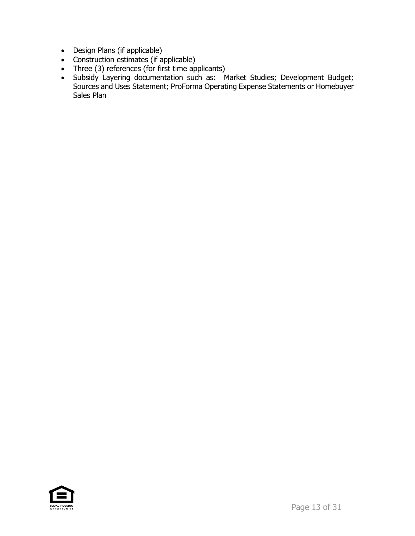- Design Plans (if applicable)
- Construction estimates (if applicable)
- Three (3) references (for first time applicants)
- Subsidy Layering documentation such as: Market Studies; Development Budget; Sources and Uses Statement; ProForma Operating Expense Statements or Homebuyer Sales Plan

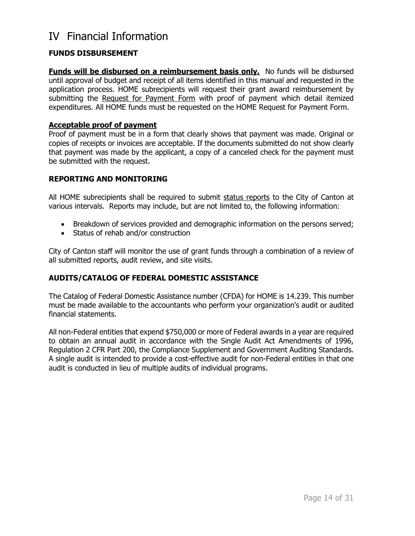# IV Financial Information

# **FUNDS DISBURSEMENT**

**Funds will be disbursed on a reimbursement basis only.** No funds will be disbursed until approval of budget and receipt of all items identified in this manual and requested in the application process. HOME subrecipients will request their grant award reimbursement by submitting the Request for Payment Form with proof of payment which detail itemized expenditures. All HOME funds must be requested on the HOME Request for Payment Form.

### **Acceptable proof of payment**

Proof of payment must be in a form that clearly shows that payment was made. Original or copies of receipts or invoices are acceptable. If the documents submitted do not show clearly that payment was made by the applicant, a copy of a canceled check for the payment must be submitted with the request.

## **REPORTING AND MONITORING**

All HOME subrecipients shall be required to submit status reports to the City of Canton at various intervals. Reports may include, but are not limited to, the following information:

- Breakdown of services provided and demographic information on the persons served;
- Status of rehab and/or construction

City of Canton staff will monitor the use of grant funds through a combination of a review of all submitted reports, audit review, and site visits.

# **AUDITS/CATALOG OF FEDERAL DOMESTIC ASSISTANCE**

The Catalog of Federal Domestic Assistance number (CFDA) for HOME is 14.239. This number must be made available to the accountants who perform your organization's audit or audited financial statements.

All non-Federal entities that expend \$750,000 or more of Federal awards in a year are required to obtain an annual audit in accordance with the Single Audit Act Amendments of 1996, Regulation 2 CFR Part 200, the Compliance Supplement and Government Auditing Standards. A single audit is intended to provide a cost-effective audit for non-Federal entities in that one audit is conducted in lieu of multiple audits of individual programs.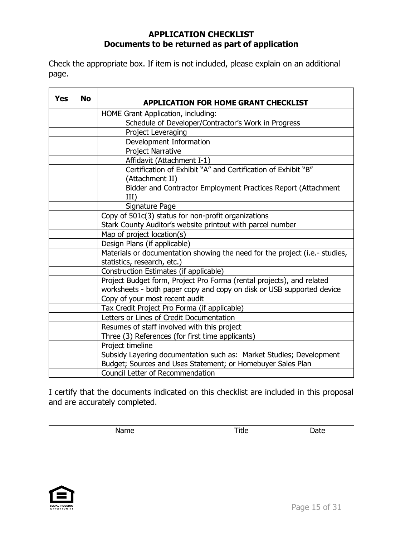# **APPLICATION CHECKLIST Documents to be returned as part of application**

Check the appropriate box. If item is not included, please explain on an additional page.

| <b>Yes</b> | <b>No</b> | <b>APPLICATION FOR HOME GRANT CHECKLIST</b>                                 |
|------------|-----------|-----------------------------------------------------------------------------|
|            |           | HOME Grant Application, including:                                          |
|            |           | Schedule of Developer/Contractor's Work in Progress                         |
|            |           | Project Leveraging                                                          |
|            |           | Development Information                                                     |
|            |           | <b>Project Narrative</b>                                                    |
|            |           | Affidavit (Attachment I-1)                                                  |
|            |           | Certification of Exhibit "A" and Certification of Exhibit "B"               |
|            |           | (Attachment II)                                                             |
|            |           | Bidder and Contractor Employment Practices Report (Attachment               |
|            |           | III)                                                                        |
|            |           | Signature Page                                                              |
|            |           | Copy of 501c(3) status for non-profit organizations                         |
|            |           | Stark County Auditor's website printout with parcel number                  |
|            |           | Map of project location(s)                                                  |
|            |           | Design Plans (if applicable)                                                |
|            |           | Materials or documentation showing the need for the project (i.e.- studies, |
|            |           | statistics, research, etc.)                                                 |
|            |           | Construction Estimates (if applicable)                                      |
|            |           | Project Budget form, Project Pro Forma (rental projects), and related       |
|            |           | worksheets - both paper copy and copy on disk or USB supported device       |
|            |           | Copy of your most recent audit                                              |
|            |           | Tax Credit Project Pro Forma (if applicable)                                |
|            |           | Letters or Lines of Credit Documentation                                    |
|            |           | Resumes of staff involved with this project                                 |
|            |           | Three (3) References (for first time applicants)                            |
|            |           | Project timeline                                                            |
|            |           | Subsidy Layering documentation such as: Market Studies; Development         |
|            |           | Budget; Sources and Uses Statement; or Homebuyer Sales Plan                 |
|            |           | Council Letter of Recommendation                                            |

I certify that the documents indicated on this checklist are included in this proposal and are accurately completed.

Name **Name** Date **Title Date** 

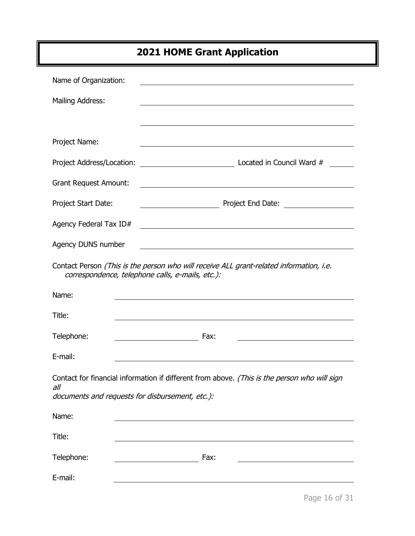# **2021 HOME Grant Application**

| Name of Organization:                                  |                                                                                                                                             |
|--------------------------------------------------------|---------------------------------------------------------------------------------------------------------------------------------------------|
| Mailing Address:                                       |                                                                                                                                             |
|                                                        | ,我们也不会有什么。""我们的人,我们也不会有什么?""我们的人,我们也不会有什么?""我们的人,我们也不会有什么?""我们的人,我们也不会有什么?""我们的人                                                            |
| Project Name:                                          |                                                                                                                                             |
|                                                        |                                                                                                                                             |
| <b>Grant Request Amount:</b>                           | <u> 1989 - Johann Stoff, deutscher Stoff, der Stoff, der Stoff, der Stoff, der Stoff, der Stoff, der Stoff, der S</u>                       |
| Project Start Date:                                    |                                                                                                                                             |
| Agency Federal Tax ID#                                 | <u> 1989 - Johann Barnett, fransk politiker (d. 1989)</u>                                                                                   |
| Agency DUNS number                                     | <u> 1980 - Johann Barn, mars ann an t-Amhain Aonaichte ann an t-Aonaichte ann an t-Aonaichte ann an t-Aonaichte a</u>                       |
|                                                        | Contact Person (This is the person who will receive ALL grant-related information, i.e.<br>correspondence, telephone calls, e-mails, etc.): |
|                                                        |                                                                                                                                             |
| Name:                                                  |                                                                                                                                             |
| Title:                                                 | and the control of the control of the control of the control of the control of the control of the control of the                            |
| Telephone:                                             | Fax:                                                                                                                                        |
| E-mail:                                                | and the control of the control of the control of the control of the control of the control of the control of the                            |
| all<br>documents and requests for disbursement, etc.): | Contact for financial information if different from above. (This is the person who will sign                                                |
| Name:                                                  |                                                                                                                                             |
| Title:                                                 |                                                                                                                                             |
| Telephone:                                             | Fax:                                                                                                                                        |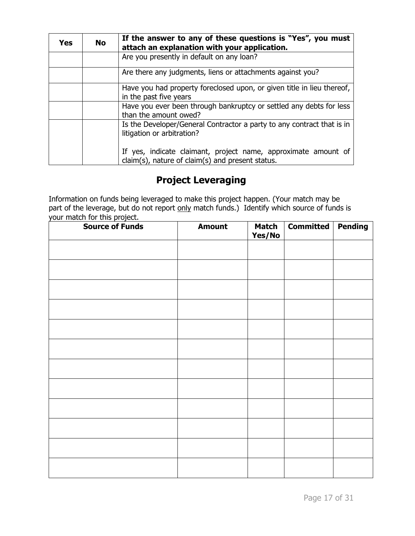| Yes | <b>No</b> | If the answer to any of these questions is "Yes", you must<br>attach an explanation with your application.         |  |  |  |
|-----|-----------|--------------------------------------------------------------------------------------------------------------------|--|--|--|
|     |           | Are you presently in default on any loan?                                                                          |  |  |  |
|     |           | Are there any judgments, liens or attachments against you?                                                         |  |  |  |
|     |           | Have you had property foreclosed upon, or given title in lieu thereof,<br>in the past five years                   |  |  |  |
|     |           | Have you ever been through bankruptcy or settled any debts for less<br>than the amount owed?                       |  |  |  |
|     |           | Is the Developer/General Contractor a party to any contract that is in<br>litigation or arbitration?               |  |  |  |
|     |           | If yes, indicate claimant, project name, approximate amount of<br>claim(s), nature of claim(s) and present status. |  |  |  |

# **Project Leveraging**

Information on funds being leveraged to make this project happen. (Your match may be part of the leverage, but do not report only match funds.) Identify which source of funds is your match for this project.

| <b>Source of Funds</b> | <b>Amount</b> | <b>Match</b><br>Yes/No | Committed   Pending |  |
|------------------------|---------------|------------------------|---------------------|--|
|                        |               |                        |                     |  |
|                        |               |                        |                     |  |
|                        |               |                        |                     |  |
|                        |               |                        |                     |  |
|                        |               |                        |                     |  |
|                        |               |                        |                     |  |
|                        |               |                        |                     |  |
|                        |               |                        |                     |  |
|                        |               |                        |                     |  |
|                        |               |                        |                     |  |
|                        |               |                        |                     |  |
|                        |               |                        |                     |  |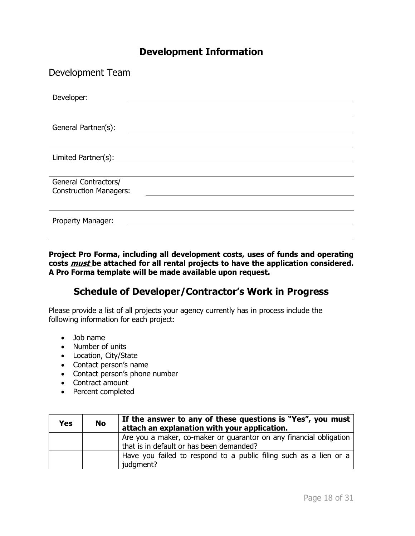# **Development Information**

| Development Team                                      |  |  |  |  |
|-------------------------------------------------------|--|--|--|--|
| Developer:                                            |  |  |  |  |
| General Partner(s):                                   |  |  |  |  |
| Limited Partner(s):                                   |  |  |  |  |
| General Contractors/<br><b>Construction Managers:</b> |  |  |  |  |
| Property Manager:                                     |  |  |  |  |

**Project Pro Forma, including all development costs, uses of funds and operating costs must be attached for all rental projects to have the application considered. A Pro Forma template will be made available upon request.**

# **Schedule of Developer/Contractor's Work in Progress**

Please provide a list of all projects your agency currently has in process include the following information for each project:

- Job name
- Number of units
- Location, City/State
- Contact person's name
- Contact person's phone number
- Contract amount
- Percent completed

| Yes | <b>No</b> | If the answer to any of these questions is "Yes", you must<br>attach an explanation with your application.     |  |  |  |
|-----|-----------|----------------------------------------------------------------------------------------------------------------|--|--|--|
|     |           | Are you a maker, co-maker or guarantor on any financial obligation<br>that is in default or has been demanded? |  |  |  |
|     |           | Have you failed to respond to a public filing such as a lien or a<br>judgment?                                 |  |  |  |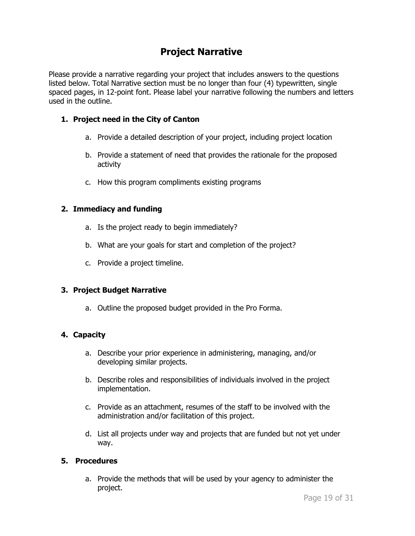# **Project Narrative**

Please provide a narrative regarding your project that includes answers to the questions listed below. Total Narrative section must be no longer than four (4) typewritten, single spaced pages, in 12-point font. Please label your narrative following the numbers and letters used in the outline.

# **1. Project need in the City of Canton**

- a. Provide a detailed description of your project, including project location
- b. Provide a statement of need that provides the rationale for the proposed activity
- c. How this program compliments existing programs

## **2. Immediacy and funding**

- a. Is the project ready to begin immediately?
- b. What are your goals for start and completion of the project?
- c. Provide a project timeline.

# **3. Project Budget Narrative**

a. Outline the proposed budget provided in the Pro Forma.

# **4. Capacity**

- a. Describe your prior experience in administering, managing, and/or developing similar projects.
- b. Describe roles and responsibilities of individuals involved in the project implementation.
- c. Provide as an attachment, resumes of the staff to be involved with the administration and/or facilitation of this project.
- d. List all projects under way and projects that are funded but not yet under way.

# **5. Procedures**

a. Provide the methods that will be used by your agency to administer the project.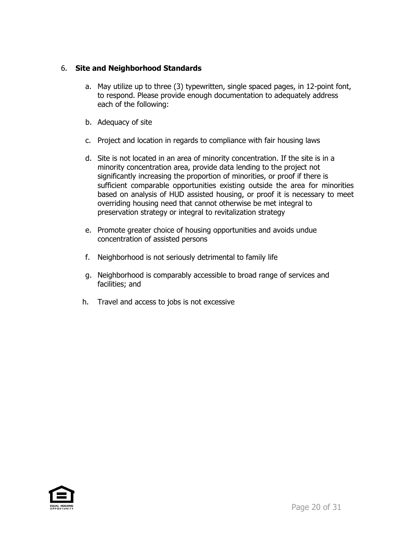# 6. **Site and Neighborhood Standards**

- a. May utilize up to three (3) typewritten, single spaced pages, in 12-point font, to respond. Please provide enough documentation to adequately address each of the following:
- b. Adequacy of site
- c. Project and location in regards to compliance with fair housing laws
- d. Site is not located in an area of minority concentration. If the site is in a minority concentration area, provide data lending to the project not significantly increasing the proportion of minorities, or proof if there is sufficient comparable opportunities existing outside the area for minorities based on analysis of HUD assisted housing, or proof it is necessary to meet overriding housing need that cannot otherwise be met integral to preservation strategy or integral to revitalization strategy
- e. Promote greater choice of housing opportunities and avoids undue concentration of assisted persons
- f. Neighborhood is not seriously detrimental to family life
- g. Neighborhood is comparably accessible to broad range of services and facilities; and
- h. Travel and access to jobs is not excessive

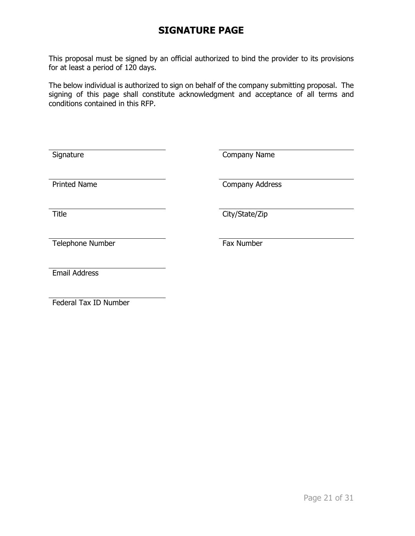# **SIGNATURE PAGE**

This proposal must be signed by an official authorized to bind the provider to its provisions for at least a period of 120 days.

The below individual is authorized to sign on behalf of the company submitting proposal. The signing of this page shall constitute acknowledgment and acceptance of all terms and conditions contained in this RFP.

| Signature            | Company Name    |
|----------------------|-----------------|
| <b>Printed Name</b>  | Company Address |
| <b>Title</b>         | City/State/Zip  |
| Telephone Number     | Fax Number      |
| <b>Email Address</b> |                 |

Federal Tax ID Number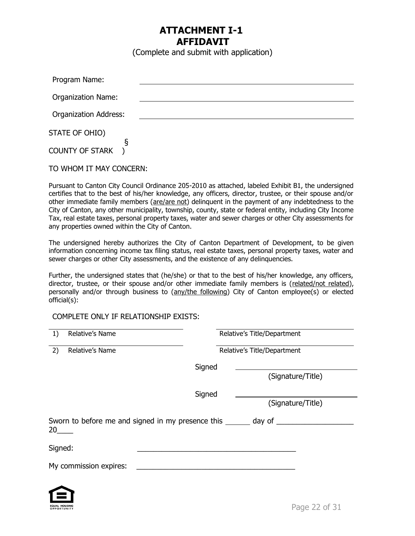# **ATTACHMENT I-1 AFFIDAVIT**

(Complete and submit with application)

| Program Name:                |  |
|------------------------------|--|
| <b>Organization Name:</b>    |  |
| <b>Organization Address:</b> |  |
| STATE OF OHIO)               |  |
| ε<br><b>COUNTY OF STARK</b>  |  |

TO WHOM IT MAY CONCERN:

Pursuant to Canton City Council Ordinance 205-2010 as attached, labeled Exhibit B1, the undersigned certifies that to the best of his/her knowledge, any officers, director, trustee, or their spouse and/or other immediate family members (are/are not) delinquent in the payment of any indebtedness to the City of Canton, any other municipality, township, county, state or federal entity, including City Income Tax, real estate taxes, personal property taxes, water and sewer charges or other City assessments for any properties owned within the City of Canton.

The undersigned hereby authorizes the City of Canton Department of Development, to be given information concerning income tax filing status, real estate taxes, personal property taxes, water and sewer charges or other City assessments, and the existence of any delinquencies.

Further, the undersigned states that (he/she) or that to the best of his/her knowledge, any officers, director, trustee, or their spouse and/or other immediate family members is (related/not related), personally and/or through business to (any/the following) City of Canton employee(s) or elected official(s):

### COMPLETE ONLY IF RELATIONSHIP EXISTS:

| 1)                                                                            | Relative's Name        |        | Relative's Title/Department |  |  |
|-------------------------------------------------------------------------------|------------------------|--------|-----------------------------|--|--|
| 2)                                                                            | Relative's Name        |        | Relative's Title/Department |  |  |
|                                                                               |                        | Signed |                             |  |  |
|                                                                               |                        |        | (Signature/Title)           |  |  |
|                                                                               |                        | Signed |                             |  |  |
|                                                                               |                        |        | (Signature/Title)           |  |  |
| Sworn to before me and signed in my presence this _______ day of ____<br>20 a |                        |        |                             |  |  |
| Signed:                                                                       |                        |        |                             |  |  |
|                                                                               | My commission expires: |        |                             |  |  |

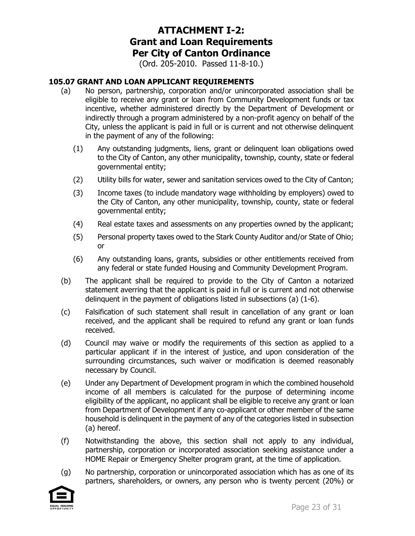# **ATTACHMENT I-2: Grant and Loan Requirements Per City of Canton Ordinance**

(Ord. 205-2010. Passed 11-8-10.)

### **105.07 GRANT AND LOAN APPLICANT REQUIREMENTS**

- (a) No person, partnership, corporation and/or unincorporated association shall be eligible to receive any grant or loan from Community Development funds or tax incentive, whether administered directly by the Department of Development or indirectly through a program administered by a non-profit agency on behalf of the City, unless the applicant is paid in full or is current and not otherwise delinquent in the payment of any of the following:
	- (1) Any outstanding judgments, liens, grant or delinquent loan obligations owed to the City of Canton, any other municipality, township, county, state or federal governmental entity;
	- (2) Utility bills for water, sewer and sanitation services owed to the City of Canton;
	- (3) Income taxes (to include mandatory wage withholding by employers) owed to the City of Canton, any other municipality, township, county, state or federal governmental entity;
	- (4) Real estate taxes and assessments on any properties owned by the applicant;
	- (5) Personal property taxes owed to the Stark County Auditor and/or State of Ohio; or
	- (6) Any outstanding loans, grants, subsidies or other entitlements received from any federal or state funded Housing and Community Development Program.
- (b) The applicant shall be required to provide to the City of Canton a notarized statement averring that the applicant is paid in full or is current and not otherwise delinquent in the payment of obligations listed in subsections (a) (1-6).
- (c) Falsification of such statement shall result in cancellation of any grant or loan received, and the applicant shall be required to refund any grant or loan funds received.
- (d) Council may waive or modify the requirements of this section as applied to a particular applicant if in the interest of justice, and upon consideration of the surrounding circumstances, such waiver or modification is deemed reasonably necessary by Council.
- (e) Under any Department of Development program in which the combined household income of all members is calculated for the purpose of determining income eligibility of the applicant, no applicant shall be eligible to receive any grant or loan from Department of Development if any co-applicant or other member of the same household is delinquent in the payment of any of the categories listed in subsection (a) hereof.
- (f) Notwithstanding the above, this section shall not apply to any individual, partnership, corporation or incorporated association seeking assistance under a HOME Repair or Emergency Shelter program grant, at the time of application.
- (g) No partnership, corporation or unincorporated association which has as one of its partners, shareholders, or owners, any person who is twenty percent (20%) or

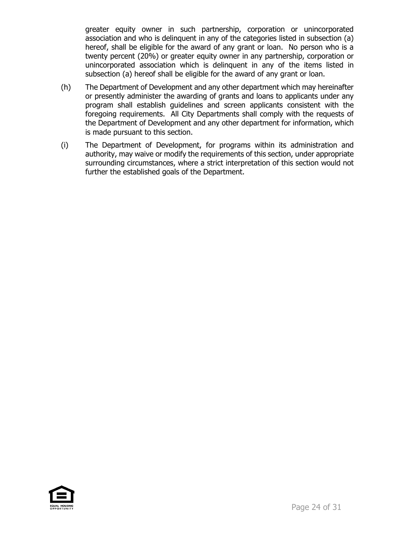greater equity owner in such partnership, corporation or unincorporated association and who is delinquent in any of the categories listed in subsection (a) hereof, shall be eligible for the award of any grant or loan. No person who is a twenty percent (20%) or greater equity owner in any partnership, corporation or unincorporated association which is delinquent in any of the items listed in subsection (a) hereof shall be eligible for the award of any grant or loan.

- (h) The Department of Development and any other department which may hereinafter or presently administer the awarding of grants and loans to applicants under any program shall establish guidelines and screen applicants consistent with the foregoing requirements. All City Departments shall comply with the requests of the Department of Development and any other department for information, which is made pursuant to this section.
- (i) The Department of Development, for programs within its administration and authority, may waive or modify the requirements of this section, under appropriate surrounding circumstances, where a strict interpretation of this section would not further the established goals of the Department.

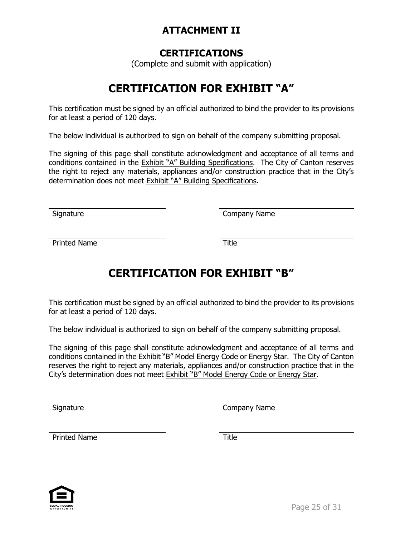# **ATTACHMENT II**

# **CERTIFICATIONS**

(Complete and submit with application)

# **CERTIFICATION FOR EXHIBIT "A"**

This certification must be signed by an official authorized to bind the provider to its provisions for at least a period of 120 days.

The below individual is authorized to sign on behalf of the company submitting proposal.

The signing of this page shall constitute acknowledgment and acceptance of all terms and conditions contained in the Exhibit "A" Building Specifications. The City of Canton reserves the right to reject any materials, appliances and/or construction practice that in the City's determination does not meet Exhibit "A" Building Specifications.

Signature Company Name

Printed Name Title

# **CERTIFICATION FOR EXHIBIT "B"**

This certification must be signed by an official authorized to bind the provider to its provisions for at least a period of 120 days.

The below individual is authorized to sign on behalf of the company submitting proposal.

The signing of this page shall constitute acknowledgment and acceptance of all terms and conditions contained in the Exhibit "B" Model Energy Code or Energy Star. The City of Canton reserves the right to reject any materials, appliances and/or construction practice that in the City's determination does not meet Exhibit "B" Model Energy Code or Energy Star.

Signature Company Name

Printed Name Title

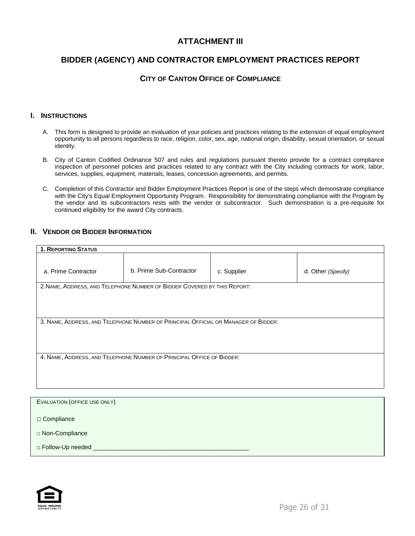# **ATTACHMENT III**

# **BIDDER (AGENCY) AND CONTRACTOR EMPLOYMENT PRACTICES REPORT**

#### **CITY OF CANTON OFFICE OF COMPLIANCE**

#### **I. INSTRUCTIONS**

- A. This form is designed to provide an evaluation of your policies and practices relating to the extension of equal employment opportunity to all persons regardless to race, religion, color, sex, age, national origin, disability, sexual orientation, or sexual identity.
- B. City of Canton Codified Ordinance 507 and rules and regulations pursuant thereto provide for a contract compliance inspection of personnel policies and practices related to any contract with the City including contracts for work, labor, services, supplies, equipment, materials, leases, concession agreements, and permits.
- C. Completion of this Contractor and Bidder Employment Practices Report is one of the steps which demonstrate compliance with the City's Equal Employment Opportunity Program. Responsibility for demonstrating compliance with the Program by the vendor and its subcontractors rests with the vendor or subcontractor. Such demonstration is a pre-requisite for continued eligibility for the award City contracts.

#### **II. VENDOR OR BIDDER INFORMATION**

| <b>1. REPORTING STATUS</b> |                                                                                    |  |                    |  |  |  |
|----------------------------|------------------------------------------------------------------------------------|--|--------------------|--|--|--|
| a. Prime Contractor        | b. Prime Sub-Contractor<br>c. Supplier                                             |  | d. Other (Specify) |  |  |  |
|                            | 2. NAME, ADDRESS, AND TELEPHONE NUMBER OF BIDDER COVERED BY THIS REPORT:           |  |                    |  |  |  |
|                            |                                                                                    |  |                    |  |  |  |
|                            |                                                                                    |  |                    |  |  |  |
|                            |                                                                                    |  |                    |  |  |  |
|                            | 3. NAME, ADDRESS, AND TELEPHONE NUMBER OF PRINCIPAL OFFICIAL OR MANAGER OF BIDDER: |  |                    |  |  |  |
|                            |                                                                                    |  |                    |  |  |  |
|                            |                                                                                    |  |                    |  |  |  |
|                            | 4. NAME, ADDRESS, AND TELEPHONE NUMBER OF PRINCIPAL OFFICE OF BIDDER:              |  |                    |  |  |  |
|                            |                                                                                    |  |                    |  |  |  |
|                            |                                                                                    |  |                    |  |  |  |
|                            |                                                                                    |  |                    |  |  |  |

| EVALUATION (OFFICE USE ONLY) |  |
|------------------------------|--|
| $\Box$ Compliance            |  |
|                              |  |
| □ Non-Compliance             |  |
| D Follow-Up needed           |  |

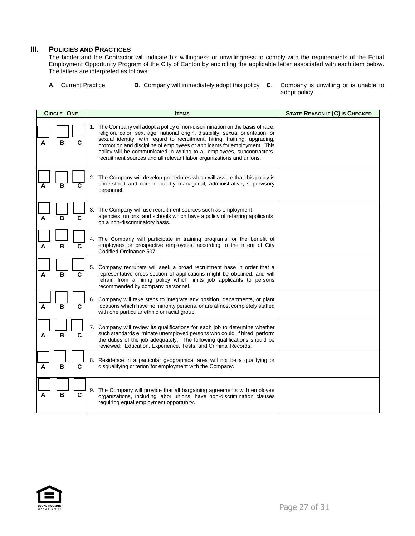#### **III. POLICIES AND PRACTICES**

The bidder and the Contractor will indicate his willingness or unwillingness to comply with the requirements of the Equal Employment Opportunity Program of the City of Canton by encircling the applicable letter associated with each item below. The letters are interpreted as follows:

- **A**. Current Practice **B**. Company will immediately adopt this policy **C**. Company is unwilling or is unable to
	- adopt policy

|   | <b>CIRCLE ONE</b> | <b>ITEMS</b>                                                                                                                                                                                                                                                                                                                                                                                                                                                                  | <b>STATE REASON IF (C) IS CHECKED</b> |  |  |  |
|---|-------------------|-------------------------------------------------------------------------------------------------------------------------------------------------------------------------------------------------------------------------------------------------------------------------------------------------------------------------------------------------------------------------------------------------------------------------------------------------------------------------------|---------------------------------------|--|--|--|
| А | B<br>C            | 1. The Company will adopt a policy of non-discrimination on the basis of race,<br>religion, color, sex, age, national origin, disability, sexual orientation, or<br>sexual identity, with regard to recruitment, hiring, training, upgrading,<br>promotion and discipline of employees or applicants for employment. This<br>policy will be communicated in writing to all employees, subcontractors,<br>recruitment sources and all relevant labor organizations and unions. |                                       |  |  |  |
|   |                   | The Company will develop procedures which will assure that this policy is<br>2.<br>understood and carried out by managerial, administrative, supervisory<br>personnel.                                                                                                                                                                                                                                                                                                        |                                       |  |  |  |
|   | B<br>С            | 3. The Company will use recruitment sources such as employment<br>agencies, unions, and schools which have a policy of referring applicants<br>on a non-discriminatory basis.                                                                                                                                                                                                                                                                                                 |                                       |  |  |  |
| А | B<br>С            | 4. The Company will participate in training programs for the benefit of<br>employees or prospective employees, according to the intent of City<br>Codified Ordinance 507.                                                                                                                                                                                                                                                                                                     |                                       |  |  |  |
|   | B<br>C            | 5. Company recruiters will seek a broad recruitment base in order that a<br>representative cross-section of applications might be obtained, and will<br>refrain from a hiring policy which limits job applicants to persons<br>recommended by company personnel.                                                                                                                                                                                                              |                                       |  |  |  |
|   | B<br>C            | Company will take steps to integrate any position, departments, or plant<br>6.<br>locations which have no minority persons, or are almost completely staffed<br>with one particular ethnic or racial group.                                                                                                                                                                                                                                                                   |                                       |  |  |  |
| А | B<br>С            | 7. Company will review its qualifications for each job to determine whether<br>such standards eliminate unemployed persons who could, if hired, perform<br>the duties of the job adequately. The following qualifications should be<br>reviewed: Education, Experience, Tests, and Criminal Records.                                                                                                                                                                          |                                       |  |  |  |
|   | B<br>С            | 8. Residence in a particular geographical area will not be a qualifying or<br>disqualifying criterion for employment with the Company.                                                                                                                                                                                                                                                                                                                                        |                                       |  |  |  |
| А | B<br>C            | 9. The Company will provide that all bargaining agreements with employee<br>organizations, including labor unions, have non-discrimination clauses<br>requiring equal employment opportunity.                                                                                                                                                                                                                                                                                 |                                       |  |  |  |

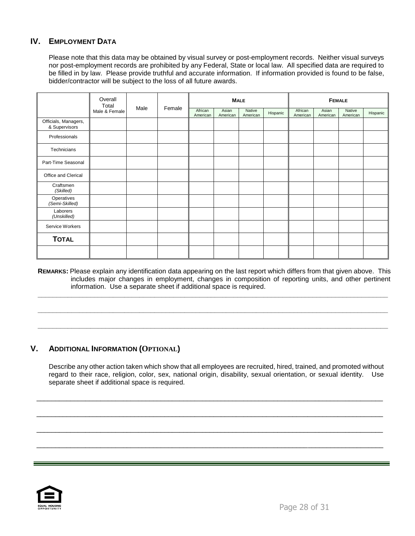# **IV.** EMPLOYMENT DATA

Please note that this data may be obtained by visual survey or post-employment records. Neither visual surveys nor post-employment records are prohibited by any Federal, State or local law. All specified data are required to be filled in by law. Please provide truthful and accurate information. If information provided is found to be false, bidder/contractor will be subject to the loss of all future awards.

|                                       | Overall<br>Total |      |        | <b>MALE</b>         |                   |                    | <b>FEMALE</b> |                     |                   |                    |          |
|---------------------------------------|------------------|------|--------|---------------------|-------------------|--------------------|---------------|---------------------|-------------------|--------------------|----------|
|                                       | Male & Female    | Male | Female | African<br>American | Asian<br>American | Native<br>American | Hispanic      | African<br>American | Asian<br>American | Native<br>American | Hispanic |
| Officials, Managers,<br>& Supervisors |                  |      |        |                     |                   |                    |               |                     |                   |                    |          |
| Professionals                         |                  |      |        |                     |                   |                    |               |                     |                   |                    |          |
| Technicians                           |                  |      |        |                     |                   |                    |               |                     |                   |                    |          |
| Part-Time Seasonal                    |                  |      |        |                     |                   |                    |               |                     |                   |                    |          |
| Office and Clerical                   |                  |      |        |                     |                   |                    |               |                     |                   |                    |          |
| Craftsmen<br>(Skilled)                |                  |      |        |                     |                   |                    |               |                     |                   |                    |          |
| Operatives<br>(Semi-Skilled)          |                  |      |        |                     |                   |                    |               |                     |                   |                    |          |
| Laborers<br>(Unskilled)               |                  |      |        |                     |                   |                    |               |                     |                   |                    |          |
| Service Workers                       |                  |      |        |                     |                   |                    |               |                     |                   |                    |          |
| <b>TOTAL</b>                          |                  |      |        |                     |                   |                    |               |                     |                   |                    |          |
|                                       |                  |      |        |                     |                   |                    |               |                     |                   |                    |          |

**REMARKS:** Please explain any identification data appearing on the last report which differs from that given above. This includes major changes in employment, changes in composition of reporting units, and other pertinent information. Use a separate sheet if additional space is required.

**\_\_\_\_\_\_\_\_\_\_\_\_\_\_\_\_\_\_\_\_\_\_\_\_\_\_\_\_\_\_\_\_\_\_\_\_\_\_\_\_\_\_\_\_\_\_\_\_\_\_\_\_\_\_\_\_\_\_\_\_\_\_\_\_\_\_\_\_\_\_\_\_\_\_\_\_\_\_\_\_\_\_\_\_\_\_\_\_\_\_\_\_\_**

**\_\_\_\_\_\_\_\_\_\_\_\_\_\_\_\_\_\_\_\_\_\_\_\_\_\_\_\_\_\_\_\_\_\_\_\_\_\_\_\_\_\_\_\_\_\_\_\_\_\_\_\_\_\_\_\_\_\_\_\_\_\_\_\_\_\_\_\_\_\_\_\_\_\_\_\_\_\_\_\_\_\_\_\_\_\_\_\_\_\_\_\_\_**

**\_\_\_\_\_\_\_\_\_\_\_\_\_\_\_\_\_\_\_\_\_\_\_\_\_\_\_\_\_\_\_\_\_\_\_\_\_\_\_\_\_\_\_\_\_\_\_\_\_\_\_\_\_\_\_\_\_\_\_\_\_\_\_\_\_\_\_\_\_\_\_\_\_\_\_\_\_\_\_\_\_\_\_\_\_\_\_\_\_\_\_\_\_**

# **V. ADDITIONAL INFORMATION (OPTIONAL)**

Describe any other action taken which show that all employees are recruited, hired, trained, and promoted without regard to their race, religion, color, sex, national origin, disability, sexual orientation, or sexual identity. Use separate sheet if additional space is required.

\_\_\_\_\_\_\_\_\_\_\_\_\_\_\_\_\_\_\_\_\_\_\_\_\_\_\_\_\_\_\_\_\_\_\_\_\_\_\_\_\_\_\_\_\_\_\_\_\_\_\_\_\_\_\_\_\_\_\_\_\_\_\_\_\_\_\_\_\_\_\_\_\_\_\_\_\_\_\_\_\_\_\_\_\_\_\_\_\_\_\_\_

 $\Box$ 

 $\Box$ 

\_\_\_\_\_\_\_\_\_\_\_\_\_\_\_\_\_\_\_\_\_\_\_\_\_\_\_\_\_\_\_\_\_\_\_\_\_\_\_\_\_\_\_\_\_\_\_\_\_\_\_\_\_\_\_\_\_\_\_\_\_\_\_\_\_\_\_\_\_\_\_\_\_\_\_\_\_\_\_\_\_\_\_\_\_\_\_\_\_\_\_\_

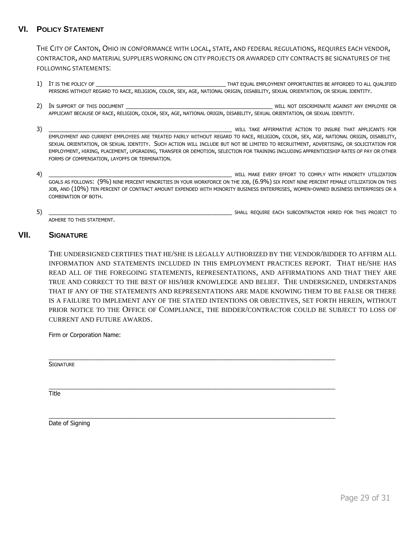# **VI. POLICY STATEMENT**

THE CITY OF CANTON, OHIO IN CONFORMANCE WITH LOCAL, STATE, AND FEDERAL REGULATIONS, REQUIRES EACH VENDOR, CONTRACTOR, AND MATERIAL SUPPLIERS WORKING ON CITY PROJECTS OR AWARDED CITY CONTRACTS BE SIGNATURES OF THE FOLLOWING STATEMENTS:

- 1) IT IS THE POLICY OF **THE POLICY OF ALL CONSUMITIES BE AFFORDED TO ALL QUALIFIED** PERSONS WITHOUT REGARD TO RACE, RELIGION, COLOR, SEX, AGE, NATIONAL ORIGIN, DISABILITY, SEXUAL ORIENTATION, OR SEXUAL IDENTITY.
- 2) In support of this document the set of the set of the set of the set of the set of the set of the set of the set of the set of the set of the set of the set of the set of the set of the set of the set of the set of the APPLICANT BECAUSE OF RACE, RELIGION, COLOR, SEX, AGE, NATIONAL ORIGIN, DISABILITY, SEXUAL ORIENTATION, OR SEXUAL IDENTITY.
- 3) THE SUMMAN SERVERT AND THE SERVERT OF THE SERVERT AND THE SERVERT AND TO INSURE THAT APPLICANTS FOR EMPLOYMENT AND CURRENT EMPLOYEES ARE TREATED FAIRLY WITHOUT REGARD TO RACE, RELIGION, COLOR, SEX, AGE, NATIONAL ORIGIN, DISABILITY, SEXUAL ORIENTATION, OR SEXUAL IDENTITY. SUCH ACTION WILL INCLUDE BUT NOT BE LIMITED TO RECRUITMENT, ADVERTISING, OR SOLICITATION FOR EMPLOYMENT, HIRING, PLACEMENT, UPGRADING, TRANSFER OR DEMOTION, SELECTION FOR TRAINING INCLUDING APPRENTICESHIP RATES OF PAY OR OTHER FORMS OF COMPENSATION, LAYOFFS OR TERMINATION.
- 4) THE COMPLY SERVICE SERVICE SERVICE SERVICE SERVICE SERVICE SERVICE SERVICE SERVICE SERVICE SERVICE SERVICE SERVICE SERVICE SERVICE SERVICE SERVICE SERVICE SERVICE SERVICE SERVICE SERVICE SERVICE SERVICE SERVICE SERVICE GOALS AS FOLLOWS: (9%) NINE PERCENT MINORITIES IN YOUR WORKFORCE ON THE JOB, (6.9%) SIX POINT NINE PERCENT FEMALE UTILIZATION ON THIS JOB, AND (10%) TEN PERCENT OF CONTRACT AMOUNT EXPENDED WITH MINORITY BUSINESS ENTERPRISES, WOMEN-OWNED BUSINESS ENTERPRISES OR A COMBINATION OF BOTH.
- 5) \_\_\_\_\_\_\_\_\_\_\_\_\_\_\_\_\_\_\_\_\_\_\_\_\_\_\_\_\_\_\_\_\_\_\_\_\_\_\_\_\_\_\_\_\_\_\_\_\_\_\_\_\_\_\_ SHALL REQUIRE EACH SUBCONTRACTOR HIRED FOR THIS PROJECT TO

ADHERE TO THIS STATEMENT.

#### **VII. SIGNATURE**

THE UNDERSIGNED CERTIFIES THAT HE/SHE IS LEGALLY AUTHORIZED BY THE VENDOR/BIDDER TO AFFIRM ALL INFORMATION AND STATEMENTS INCLUDED IN THIS EMPLOYMENT PRACTICES REPORT. THAT HE/SHE HAS READ ALL OF THE FOREGOING STATEMENTS, REPRESENTATIONS, AND AFFIRMATIONS AND THAT THEY ARE TRUE AND CORRECT TO THE BEST OF HIS/HER KNOWLEDGE AND BELIEF. THE UNDERSIGNED, UNDERSTANDS THAT IF ANY OF THE STATEMENTS AND REPRESENTATIONS ARE MADE KNOWING THEM TO BE FALSE OR THERE IS A FAILURE TO IMPLEMENT ANY OF THE STATED INTENTIONS OR OBJECTIVES, SET FORTH HEREIN, WITHOUT PRIOR NOTICE TO THE OFFICE OF COMPLIANCE, THE BIDDER/CONTRACTOR COULD BE SUBJECT TO LOSS OF CURRENT AND FUTURE AWARDS.

\_\_\_\_\_\_\_\_\_\_\_\_\_\_\_\_\_\_\_\_\_\_\_\_\_\_\_\_\_\_\_\_\_\_\_\_\_\_\_\_\_\_\_\_\_\_\_\_\_\_\_\_\_\_\_\_\_\_\_\_\_\_\_\_\_\_\_\_\_\_\_\_\_\_\_\_\_\_\_\_\_\_\_\_\_\_

\_\_\_\_\_\_\_\_\_\_\_\_\_\_\_\_\_\_\_\_\_\_\_\_\_\_\_\_\_\_\_\_\_\_\_\_\_\_\_\_\_\_\_\_\_\_\_\_\_\_\_\_\_\_\_\_\_\_\_\_\_\_\_\_\_\_\_\_\_\_\_\_\_\_\_\_\_\_\_\_\_\_\_\_\_\_

\_\_\_\_\_\_\_\_\_\_\_\_\_\_\_\_\_\_\_\_\_\_\_\_\_\_\_\_\_\_\_\_\_\_\_\_\_\_\_\_\_\_\_\_\_\_\_\_\_\_\_\_\_\_\_\_\_\_\_\_\_\_\_\_\_\_\_\_\_\_\_\_\_\_\_\_\_\_\_\_\_\_\_\_\_\_

Firm or Corporation Name:

**SIGNATURE** 

**Title** 

Date of Signing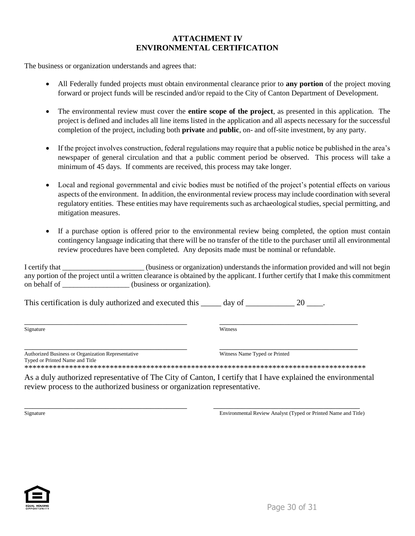# **ATTACHMENT IV ENVIRONMENTAL CERTIFICATION**

The business or organization understands and agrees that:

- All Federally funded projects must obtain environmental clearance prior to **any portion** of the project moving forward or project funds will be rescinded and/or repaid to the City of Canton Department of Development.
- The environmental review must cover the **entire scope of the project**, as presented in this application. The project is defined and includes all line items listed in the application and all aspects necessary for the successful completion of the project, including both **private** and **public**, on- and off-site investment, by any party.
- If the project involves construction, federal regulations may require that a public notice be published in the area's newspaper of general circulation and that a public comment period be observed. This process will take a minimum of 45 days. If comments are received, this process may take longer.
- Local and regional governmental and civic bodies must be notified of the project's potential effects on various aspects of the environment. In addition, the environmental review process may include coordination with several regulatory entities. These entities may have requirements such as archaeological studies, special permitting, and mitigation measures.
- If a purchase option is offered prior to the environmental review being completed, the option must contain contingency language indicating that there will be no transfer of the title to the purchaser until all environmental review procedures have been completed. Any deposits made must be nominal or refundable.

| I certify that | (business or organization) understands the information provided and will not begin                                               |
|----------------|----------------------------------------------------------------------------------------------------------------------------------|
|                | any portion of the project until a written clearance is obtained by the applicant. I further certify that I make this commitment |
| on behalf of   | (business or organization).                                                                                                      |

This certification is duly authorized and executed this \_\_\_\_\_ day of \_\_\_\_\_\_\_\_\_\_\_\_ 20 \_\_\_\_.

\_\_\_\_\_\_\_\_\_\_\_\_\_\_\_\_\_\_\_\_\_\_\_\_\_\_\_\_\_\_\_\_\_\_\_\_\_\_\_\_ \_\_\_\_\_\_\_\_\_\_\_\_\_\_\_\_\_\_\_\_\_\_\_\_\_\_\_\_\_\_\_\_\_\_

| Authorized Business or Organization Representative |
|----------------------------------------------------|
| Typed or Printed Name and Title                    |
| *****************************                      |

\_\_\_\_\_\_\_\_\_\_\_\_\_\_\_\_\_\_\_\_\_\_\_\_\_\_\_\_\_\_\_\_\_\_\_\_\_\_\_\_ \_\_\_\_\_\_\_\_\_\_\_\_\_\_\_\_\_\_\_\_\_\_\_\_\_\_\_\_\_\_\_\_\_\_ Witness Name Typed or Printed

\*\*\*\*\*\*\*\*\*\*\*\*\*\*\*\*\*\*\*\*\*\*\*\*\*\*\*\*\*\*\*\*\*\*\*\*\*\*\*\*\*\*\*\*\*\*\*\*\*\*\*\*\*\*\*\*\*\*\*\*\*\*\*\*\*\*\*\*\*\*\*\*\*\*\*\*\*\*\*\*\*\*\*\*

As a duly authorized representative of The City of Canton, I certify that I have explained the environmental review process to the authorized business or organization representative.

\_\_\_\_\_\_\_\_\_\_\_\_\_\_\_\_\_\_\_\_\_\_\_\_\_\_\_\_\_\_\_\_\_\_\_\_\_\_\_\_ \_\_\_\_\_\_\_\_\_\_\_\_\_\_\_\_\_\_\_\_\_\_\_\_\_\_\_\_\_\_\_\_\_\_\_\_ Signature Environmental Review Analyst (Typed or Printed Name and Title)